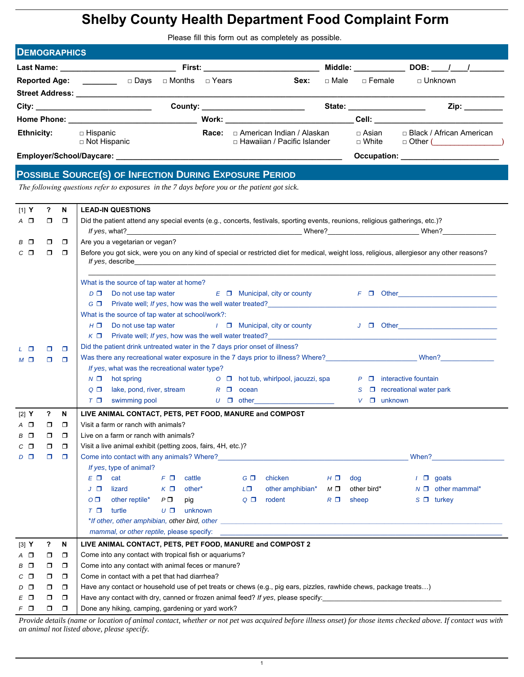## **Shelby County Health Department Food Complaint Form**

Please fill this form out as completely as possible.

| <b>DEMOGRAPHICS</b>  |                                                |       |                                                              |                           |                                                                                                                                                                                                                                                                                                                                                                                               |
|----------------------|------------------------------------------------|-------|--------------------------------------------------------------|---------------------------|-----------------------------------------------------------------------------------------------------------------------------------------------------------------------------------------------------------------------------------------------------------------------------------------------------------------------------------------------------------------------------------------------|
|                      | Last Name: <u>____________________________</u> |       | First: _______________________                               | Middle: <b>Middle</b>     | <b>DOB:</b> / /                                                                                                                                                                                                                                                                                                                                                                               |
| <b>Reported Age:</b> | □ Days<br>□ Months  □ Years                    |       | $\Box$ Male<br>Sex:                                          | $\sqcap$ Female           | $\Box$ Unknown                                                                                                                                                                                                                                                                                                                                                                                |
|                      |                                                |       |                                                              |                           |                                                                                                                                                                                                                                                                                                                                                                                               |
|                      |                                                |       | County: ________________________                             | State: __________________ | Zip: the contract of the contract of the contract of the contract of the contract of the contract of the contract of the contract of the contract of the contract of the contract of the contract of the contract of the contr                                                                                                                                                                |
|                      |                                                |       | Work: _________________________                              |                           | <b>Cell: Cell</b> : <b>Cell</b> : <b>Cell</b> : <b>Cell</b> : <b>Cell</b> : <b>Cell</b> : <b>Cell</b> : <b>Cell</b> : <b>Cell</b> : <b>Cell</b> : <b>Cell</b> : <b>Cell</b> : <b>Cell</b> : <b>Cell</b> : <b>Cell</b> : <b>Cell</b> : <b>Cell</b> : <b>Cell</b> : <b>Cell</b> : <b>Cell</b> : <b>Cell</b> : <b>Cell</b> : <b>Cell</b> : <b>Cell</b> : <b>Cell</b> : <b>Cell</b> : <b>Cell</b> |
| <b>Ethnicity:</b>    | □ Hispanic<br>□ Not Hispanic                   | Race: | □ American Indian / Alaskan<br>□ Hawaiian / Pacific Islander | □ Asian<br>$\sqcap$ White | □ Black / African American<br>$\Box$ Other ( $\Box$                                                                                                                                                                                                                                                                                                                                           |
|                      |                                                |       |                                                              |                           | Occupation: ________________________                                                                                                                                                                                                                                                                                                                                                          |
|                      |                                                |       |                                                              |                           |                                                                                                                                                                                                                                                                                                                                                                                               |

## **POSSIBLE SOURCE(S) OF INFECTION DURING EXPOSURE PERIOD**

*The following questions refer to exposures in the 7 days before you or the patient got sick.* 

| $[1]$ Y             | ?      | N                | <b>LEAD-IN QUESTIONS</b>                                                                                                                                                                                                                                                                                                                                                      |  |
|---------------------|--------|------------------|-------------------------------------------------------------------------------------------------------------------------------------------------------------------------------------------------------------------------------------------------------------------------------------------------------------------------------------------------------------------------------|--|
| A O                 | $\Box$ | $\Box$           | Did the patient attend any special events (e.g., concerts, festivals, sporting events, reunions, religious gatherings, etc.)?                                                                                                                                                                                                                                                 |  |
|                     |        |                  |                                                                                                                                                                                                                                                                                                                                                                               |  |
| B O                 | σ      | $\Box$           | Are you a vegetarian or vegan?                                                                                                                                                                                                                                                                                                                                                |  |
| $C$ $\Box$          | σ      | $\Box$           | Before you got sick, were you on any kind of special or restricted diet for medical, weight loss, religious, allergiesor any other reasons?<br>If yes, describe expression and the set of the set of the set of the set of the set of the set of the set of the set of the set of the set of the set of the set of the set of the set of the set of the set of the set of the |  |
|                     |        |                  | What is the source of tap water at home?                                                                                                                                                                                                                                                                                                                                      |  |
|                     |        |                  | Do not use tap water<br>$E$ $\Box$ Municipal, city or county<br>$F$ $\Box$ Other<br>$D$ $\Box$                                                                                                                                                                                                                                                                                |  |
|                     |        |                  |                                                                                                                                                                                                                                                                                                                                                                               |  |
|                     |        |                  | What is the source of tap water at school/work?:                                                                                                                                                                                                                                                                                                                              |  |
|                     |        |                  | $H \Box$ Do not use tap water<br>/ □ Municipal, city or county<br>$J \Box$ Other and $J \Box$ Other and $J \Box$                                                                                                                                                                                                                                                              |  |
|                     |        |                  | Private well; If yes, how was the well water treated?<br>$K \Box$                                                                                                                                                                                                                                                                                                             |  |
| L O                 | $\Box$ | o                | Did the patient drink untreated water in the 7 days prior onset of illness?                                                                                                                                                                                                                                                                                                   |  |
| $M$ $\square$       | $\Box$ | $\Box$           | If yes, what was the recreational water type?                                                                                                                                                                                                                                                                                                                                 |  |
|                     |        |                  | $\overline{O}$ $\Box$ hot tub, whirlpool, jacuzzi, spa<br>$P \Box$ interactive fountain<br>$N$ $\square$<br>hot spring                                                                                                                                                                                                                                                        |  |
|                     |        |                  | lake, pond, river, stream $R \Box$ ocean<br>$Q$ $\Box$<br>$\Box$ recreational water park<br>S                                                                                                                                                                                                                                                                                 |  |
|                     |        |                  | $U \Box$ other and $U \Box$ other and $U \Box$<br>$V \Box$ unknown<br>$T$ $\Box$<br>swimming pool                                                                                                                                                                                                                                                                             |  |
|                     | ?      | N                | LIVE ANIMAL CONTACT, PETS, PET FOOD, MANURE and COMPOST                                                                                                                                                                                                                                                                                                                       |  |
|                     |        |                  |                                                                                                                                                                                                                                                                                                                                                                               |  |
| $[2]$ Y             |        |                  |                                                                                                                                                                                                                                                                                                                                                                               |  |
| $A$ $\square$<br>вΟ | σ<br>σ | $\Box$<br>$\Box$ | Visit a farm or ranch with animals?<br>Live on a farm or ranch with animals?                                                                                                                                                                                                                                                                                                  |  |
| с п                 | σ      | $\Box$           | Visit a live animal exhibit (petting zoos, fairs, 4H, etc.)?                                                                                                                                                                                                                                                                                                                  |  |
| D □                 | σ      | $\Box$           | Come into contact with any animals? Where? <b>Example 2</b> and the state of the state of the state of the state of the state of the state of the state of the state of the state of the state of the state of the state of the sta<br>When?                                                                                                                                  |  |
|                     |        |                  | If yes, type of animal?                                                                                                                                                                                                                                                                                                                                                       |  |
|                     |        |                  | <b>cat</b> can be a set of $\mathcal{L}$<br>$F \Box$ cattle<br>$G \Box$<br>chicken<br>E O<br>$H \Box$ dog<br>$1 \Box$ goats                                                                                                                                                                                                                                                   |  |
|                     |        |                  | $K \Box$ other*<br>L□<br>other amphibian*<br>$M \Box$ other bird*<br>$N \Box$ other mammal*<br>J O<br>lizard                                                                                                                                                                                                                                                                  |  |
|                     |        |                  | O <sub>1</sub><br>other reptile* $P \Box$<br>$Q$ $\Box$<br>rodent<br>$R \Box$<br>sheep<br>$S \Box$ turkey<br>pig                                                                                                                                                                                                                                                              |  |
|                     |        |                  | turtle<br>$U \Box$ unknown<br>$T$ $\Box$                                                                                                                                                                                                                                                                                                                                      |  |
|                     |        |                  | *If other, other amphibian, other bird, other examples are all the state of the state of the state of the state of the state of the state of the state of the state of the state of the state of the state of the state of the                                                                                                                                                |  |
|                     |        |                  | mammal, or other reptile, please specify:                                                                                                                                                                                                                                                                                                                                     |  |
| [3] Y               | ?      | N                | LIVE ANIMAL CONTACT, PETS, PET FOOD, MANURE and COMPOST 2                                                                                                                                                                                                                                                                                                                     |  |
| A O                 | σ      | $\Box$           | Come into any contact with tropical fish or aquariums?                                                                                                                                                                                                                                                                                                                        |  |
| ВО                  | σ      | $\Box$           | Come into any contact with animal feces or manure?                                                                                                                                                                                                                                                                                                                            |  |
| со                  | σ      | $\Box$           | Come in contact with a pet that had diarrhea?                                                                                                                                                                                                                                                                                                                                 |  |
| D O                 | σ      | $\Box$           | Have any contact or household use of pet treats or chews (e.g., pig ears, pizzles, rawhide chews, package treats)                                                                                                                                                                                                                                                             |  |
| EО<br>$F$ $\Box$    | ◘<br>σ | $\Box$<br>$\Box$ | Have any contact with dry, canned or frozen animal feed? If yes, please specify:<br>Done any hiking, camping, gardening or yard work?                                                                                                                                                                                                                                         |  |

*Provide details (name or location of animal contact, whether or not pet was acquired before illness onset) for those items checked above. If contact was with an animal not listed above, please specify.*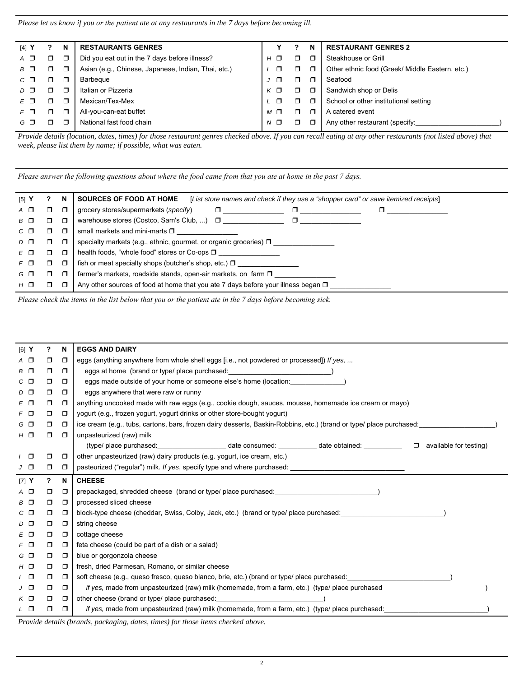*Please let us know if you or the patient ate at any restaurants in the 7 days before becoming ill.* 

| $[4]$ Y     |   | N | <b>RESTAURANTS GENRES</b>                           |            | N      | <b>RESTAURANT GENRES 2</b>                      |
|-------------|---|---|-----------------------------------------------------|------------|--------|-------------------------------------------------|
| $A$ $\Box$  | ⊓ | Π | Did you eat out in the 7 days before illness?       | $H_{-}$    | $\Box$ | Steakhouse or Grill                             |
| $B$ $\Box$  | П |   | Asian (e.g., Chinese, Japanese, Indian, Thai, etc.) | ⊓          | Π.     | Other ethnic food (Greek/ Middle Eastern, etc.) |
| $C$ $\Box$  | ⊓ | ⊓ | Barbegue                                            | п          | Π.     | Seafood                                         |
| $D$ $\Box$  |   | Π | Italian or Pizzeria                                 |            | $\Box$ | Sandwich shop or Delis                          |
|             |   | п | Mexican/Tex-Mex                                     |            | Π.     | School or other institutional setting           |
| $F \n \Box$ | ٦ | ◘ | All-you-can-eat buffet                              | $M \Box$   | ⊓      | A catered event                                 |
| G O         |   |   | National fast food chain                            | $N$ $\Box$ | Π.     | Any other restaurant (specify:                  |
|             |   |   |                                                     |            |        |                                                 |

*Provide details (location, dates, times) for those restaurant genres checked above. If you can recall eating at any other restaurants (not listed above) that week, please list them by name; if possible, what was eaten.*

*Please answer the following questions about where the food came from that you ate at home in the past 7 days.* 

| $[5]$ Y     |    | N      | [List store names and check if they use a "shopper card" or save itemized receipts]<br><b>SOURCES OF FOOD AT HOME</b> |
|-------------|----|--------|-----------------------------------------------------------------------------------------------------------------------|
| $A$ $\Box$  | □  | $\Box$ | grocery stores/supermarkets (specify)<br>α.                                                                           |
| $B$ $\Box$  | □  | $\Box$ | warehouse stores (Costco, Sam's Club, ) $\Box$<br>$\Box$                                                              |
| $C$ $\Box$  | □  | □      | small markets and mini-marts $\square$                                                                                |
| $D$ $\Box$  | ο. | □      | specialty markets (e.g., ethnic, gourmet, or organic groceries) $\square$                                             |
| $E$ $\Box$  | ο. | $\Box$ | health foods, "whole food" stores or Co-ops □                                                                         |
| $F \n \Box$ | Π. | □      | fish or meat specialty shops (butcher's shop, etc.) $\Box$                                                            |
| G O         | π. | $\Box$ | farmer's markets, roadside stands, open-air markets, on farm $\square$                                                |
| $H$ $\Box$  | ┑  | Π      | Any other sources of food at home that you ate 7 days before your illness began $\square$                             |

*Please check the items in the list below that you or the patient ate in the 7 days before becoming sick.* 

| $[6]$ Y       | ?      | N           | <b>EGGS AND DAIRY</b>                                                                                                                   |
|---------------|--------|-------------|-----------------------------------------------------------------------------------------------------------------------------------------|
| $A$ $\square$ | $\Box$ | $\Box$      | eggs (anything anywhere from whole shell eggs [i.e., not powdered or processed]) If yes,                                                |
| B O           | $\Box$ | $\Box$      | eggs at home (brand or type/ place purchased:<br>$\overline{\phantom{a}}$                                                               |
| $C$ $\Box$    | $\Box$ | $\Box$      | eggs made outside of your home or someone else's home (location:                                                                        |
| $D$ $\Box$    | $\Box$ | $\Box$      | eggs anywhere that were raw or runny                                                                                                    |
| E O           | $\Box$ | $\Box$      | anything uncooked made with raw eggs (e.g., cookie dough, sauces, mousse, homemade ice cream or mayo)                                   |
| $F$ $\Box$    | $\Box$ | $\Box$      | yogurt (e.g., frozen yogurt, yogurt drinks or other store-bought yogurt)                                                                |
| G O           | $\Box$ | $\Box$      | ice cream (e.g., tubs, cartons, bars, frozen dairy desserts, Baskin-Robbins, etc.) (brand or type/ place purchased:                     |
| $H$ $\Box$    | $\Box$ | $\Box$      | unpasteurized (raw) milk                                                                                                                |
|               |        |             | (type/ place purchased: __________________________date consumed: __________________________________<br>available for testing)<br>$\Box$ |
| $\sqrt{2}$    | $\Box$ | $\Box$      | other unpasteurized (raw) dairy products (e.g. yogurt, ice cream, etc.)                                                                 |
| $J$ $\Box$    | $\Box$ | $\Box$      | pasteurized ("regular") milk. If yes, specify type and where purchased:                                                                 |
| $[7]$ Y       | ?      | $\mathbf N$ | <b>CHEESE</b>                                                                                                                           |
| $A$ $\square$ | 0      | $\Box$      | prepackaged, shredded cheese (brand or type/ place purchased: )                                                                         |
| B O           | $\Box$ | $\Box$      | processed sliced cheese                                                                                                                 |
| $C$ $\Box$    | 0      | $\Box$      | block-type cheese (cheddar, Swiss, Colby, Jack, etc.) (brand or type/ place purchased:                                                  |
| $D$ $\Box$    | ο.     | $\Box$      | string cheese                                                                                                                           |
| $E$ $\Box$    | 0      | $\Box$      | cottage cheese                                                                                                                          |
| $F$ $\Box$    | $\Box$ | $\Box$      | feta cheese (could be part of a dish or a salad)                                                                                        |
| $G$ $\Box$    | $\Box$ | $\Box$      | blue or gorgonzola cheese                                                                                                               |
| $H$ $\Box$    | ο.     | $\Box$      | fresh, dried Parmesan, Romano, or similar cheese                                                                                        |
| $\sqrt{2}$    | ο.     | $\Box$      | soft cheese (e.g., queso fresco, queso blanco, brie, etc.) (brand or type/ place purchased: $\qquad \qquad$ )                           |
| $J$ $\Box$    | 0      | $\Box$      | if yes, made from unpasteurized (raw) milk (homemade, from a farm, etc.) (type/ place purchased                                         |
| $K$ $\Box$    | ο.     | $\Box$      | other cheese (brand or type/ place purchased:                                                                                           |
| L O           | $\Box$ | $\Box$      | if yes, made from unpasteurized (raw) milk (homemade, from a farm, etc.) (type/ place purchased:                                        |
|               |        |             | Duquido detaile (buqueda maghazino, datos timos) fontbogo itama shooked abour                                                           |

*Provide details (brands, packaging, dates, times) for those items checked above.*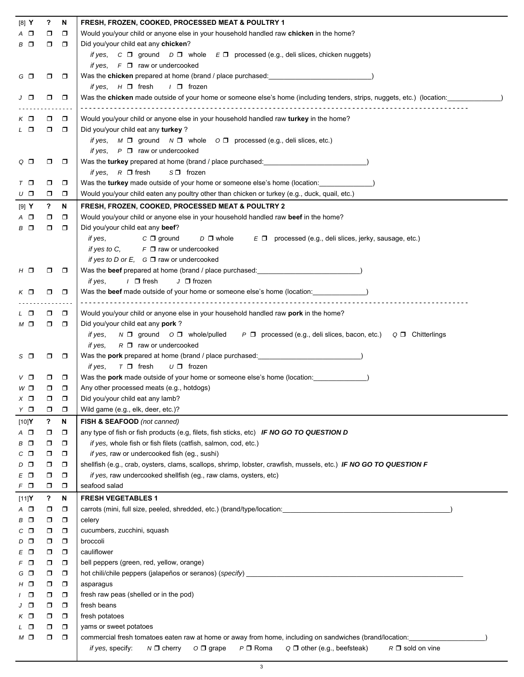| Would you/your child or anyone else in your household handled raw chicken in the home?<br>$A$ $\Box$<br>$\Box$<br>$\Box$<br>Did you/your child eat any chicken?<br>B □<br>$\Box$<br>$\Box$<br>if yes, $C \Box$ ground $D \Box$ whole $E \Box$ processed (e.g., deli slices, chicken nuggets)<br>if yes, $F \Box$ raw or undercooked<br>Was the <b>chicken</b> prepared at home (brand / place purchased: <b>example 2016</b><br>G O<br>$\Box$<br>$\Box$<br><i>if yes</i> , $H \Box$ fresh<br>/ □ frozen<br>Was the chicken made outside of your home or someone else's home (including tenders, strips, nuggets, etc.) (location:<br>J □<br>$\Box$<br>$\Box$<br>Would you/your child or anyone else in your household handled raw turkey in the home?<br>$\Box$<br>KП<br>$\Box$<br>Did you/your child eat any turkey ?<br>L O<br>$\Box$<br>$\Box$<br>if yes, M □ ground N □ whole O □ processed (e.g., deli slices, etc.)<br>if yes, $P \Box$ raw or undercooked<br>Was the <b>turkey</b> prepared at home (brand / place purchased: <b>with the set of the set of the set of the set of the set of the set of the set of the set of the set of the set of the set of the set of the set of the set of th</b><br>$\Box$<br>Q □<br>$\Box$<br>if yes, $R \Box$ fresh<br>$S \Box$ frozen<br>Was the turkey made outside of your home or someone else's home (location:<br>$\Box$<br>$T$ $\Box$<br>$\Box$<br>Would you/your child eaten any poultry other than chicken or turkey (e.g., duck, quail, etc.)<br>$\Box$<br>υ□<br>$\Box$<br>?<br>FRESH, FROZEN, COOKED, PROCESSED MEAT & POULTRY 2<br>[9] Y<br>N<br>Would you/your child or anyone else in your household handled raw beef in the home?<br>$A$ $\Box$<br>$\Box$<br>$\Box$<br>Did you/your child eat any beef?<br>$B$ $\Box$<br>$\Box$<br>$\Box$<br>$C \Box$ ground<br>if yes,<br>$D$ $\square$ whole<br>$E \Box$ processed (e.g., deli slices, jerky, sausage, etc.)<br>if yes to C, $F \Box$ raw or undercooked<br>if yes to D or E, $G \Box$ raw or undercooked<br>Was the beef prepared at home (brand / place purchased: expression of the state of the state of the state of the state of the state of the state of the state of the state of the state of the state of the state of the state<br>$H$ $\Box$<br>o<br>$\Box$<br>$\prime$ $\Box$ fresh<br>$J \Box$ frozen<br>if yes,<br>Was the beef made outside of your home or someone else's home (location: \,\)<br>$K$ $\Box$<br>$\Box$<br>$\Box$<br>Would you/your child or anyone else in your household handled raw pork in the home?<br>$\Box$<br>L □<br>$\Box$<br>Did you/your child eat any pork?<br>$M$ $\square$<br>$\Box$<br>$\Box$<br>$P \Box$ processed (e.g., deli slices, bacon, etc.) $Q \Box$ Chitterlings<br>if yes,<br>$N \Box$ ground $O \Box$ whole/pulled<br>$R \Box$ raw or undercooked<br>if yes,<br>Was the <b>pork</b> prepared at home (brand / place purchased:<br>s □<br>$\Box$<br>$\Box$<br>$T \Box$ fresh<br>$U \Box$ frozen<br>if yes,<br>Was the <b>pork</b> made outside of your home or someone else's home (location: $\qquad \qquad$ )<br>$\Box$<br>V □<br>0<br>Any other processed meats (e.g., hotdogs)<br>W□<br>$\Box$<br>$\Box$<br>Did you/your child eat any lamb?<br>$\times$ $\Box$<br>□<br>Wild game (e.g., elk, deer, etc.)?<br>YО<br>$\Box$<br>ο.<br>?<br>N<br>FISH & SEAFOOD (not canned)<br>[10]Y<br>any type of fish or fish products (e.g, filets, fish sticks, etc) IF NO GO TO QUESTION D<br>$A$ $\Box$<br>$\Box$<br>σ<br>if yes, whole fish or fish filets (catfish, salmon, cod, etc.)<br>$B$ $\Box$<br>σ<br>$\Box$<br>if yes, raw or undercooked fish (eg., sushi)<br>$C$ $\Box$<br>$\Box$<br>σ<br>shellfish (e.g., crab, oysters, clams, scallops, shrimp, lobster, crawfish, mussels, etc.) IF NO GO TO QUESTION F<br>$D$ $\Box$<br>$\Box$<br>σ<br>if yes, raw undercooked shellfish (eg., raw clams, oysters, etc)<br>E O<br>$\Box$<br>σ<br>seafood salad<br>$F$ $\Box$<br>$\Box$<br>◘<br>N<br><b>FRESH VEGETABLES 1</b><br>[11]Y<br>?<br>carrots (mini, full size, peeled, shredded, etc.) (brand/type/location: etc.) care and a strategy of the strategy of<br>$A$ $\Box$<br>$\Box$<br>$\Box$<br>B O<br>$\Box$<br>celery<br>$\Box$<br>cucumbers, zucchini, squash<br>$C$ $\Box$<br>$\Box$<br>$\Box$<br>$D$ $\Box$<br>$\Box$<br>broccoli<br>$\Box$<br>cauliflower<br>$E$ $\Box$<br>$\Box$<br>$\Box$<br>bell peppers (green, red, yellow, orange)<br>$F$ $\Box$<br>$\Box$<br>$\Box$<br>hot chili/chile peppers (jalapeños or seranos) (specify) ________________________<br>G O<br>$\Box$<br>$\Box$<br>$H$ $\Box$<br>$\Box$<br>asparagus<br>$\Box$<br>fresh raw peas (shelled or in the pod)<br>$\sqrt{2}$<br>$\Box$<br>$\Box$<br>fresh beans<br>J □<br>$\Box$<br>$\Box$<br>fresh potatoes<br>$K$ $\Box$<br>$\Box$<br>$\Box$<br>L O<br>$\Box$<br>yams or sweet potatoes<br>$\Box$<br>commercial fresh tomatoes eaten raw at home or away from home, including on sandwiches (brand/location:<br>$\Box$<br>МО<br>σ.<br>if yes, specify:<br>$P \Box$ Roma<br>Q O other (e.g., beefsteak)<br>$R \Box$ sold on vine<br>$N \Box$ cherry<br>$O \Box$ grape | [8] Y | $\boldsymbol{\mathsf{?}}$ | N | FRESH, FROZEN, COOKED, PROCESSED MEAT & POULTRY 1 |
|---------------------------------------------------------------------------------------------------------------------------------------------------------------------------------------------------------------------------------------------------------------------------------------------------------------------------------------------------------------------------------------------------------------------------------------------------------------------------------------------------------------------------------------------------------------------------------------------------------------------------------------------------------------------------------------------------------------------------------------------------------------------------------------------------------------------------------------------------------------------------------------------------------------------------------------------------------------------------------------------------------------------------------------------------------------------------------------------------------------------------------------------------------------------------------------------------------------------------------------------------------------------------------------------------------------------------------------------------------------------------------------------------------------------------------------------------------------------------------------------------------------------------------------------------------------------------------------------------------------------------------------------------------------------------------------------------------------------------------------------------------------------------------------------------------------------------------------------------------------------------------------------------------------------------------------------------------------------------------------------------------------------------------------------------------------------------------------------------------------------------------------------------------------------------------------------------------------------------------------------------------------------------------------------------------------------------------------------------------------------------------------------------------------------------------------------------------------------------------------------------------------------------------------------------------------------------------------------------------------------------------------------------------------------------------------------------------------------------------------------------------------------------------------------------------------------------------------------------------------------------------------------------------------------------------------------------------------------------------------------------------------------------------------------------------------------------------------------------------------------------------------------------------------------------------------------------------------------------------------------------------------------------------------------------------------------------------------------------------------------------------------------------------------------------------------------------------------------------------------------------------------------------------------------------------------------------------------------------------------------------------------------------------------------------------------------------------------------------------------------------------------------------------------------------------------------------------------------------------------------------------------------------------------------------------------------------------------------------------------------------------------------------------------------------------------------------------------------------------------------------------------------------------------------------------------------------------------------------------------------------------------------------------------------------------------------------------------------------------------------------------------------------------------------------------------------------------------------------------------------------------------------------------------------------------------------------------------------------------------------------------------------------------------------------------------------------------------------------------------------------------------------------------------------------------------------------------------------------------------------------------------------------------------------------------------------------------------------------------------------------------------------------------------------------------------------------------------------------------------------------------|-------|---------------------------|---|---------------------------------------------------|
|                                                                                                                                                                                                                                                                                                                                                                                                                                                                                                                                                                                                                                                                                                                                                                                                                                                                                                                                                                                                                                                                                                                                                                                                                                                                                                                                                                                                                                                                                                                                                                                                                                                                                                                                                                                                                                                                                                                                                                                                                                                                                                                                                                                                                                                                                                                                                                                                                                                                                                                                                                                                                                                                                                                                                                                                                                                                                                                                                                                                                                                                                                                                                                                                                                                                                                                                                                                                                                                                                                                                                                                                                                                                                                                                                                                                                                                                                                                                                                                                                                                                                                                                                                                                                                                                                                                                                                                                                                                                                                                                                                                                                                                                                                                                                                                                                                                                                                                                                                                                                                                                                                                                 |       |                           |   |                                                   |
|                                                                                                                                                                                                                                                                                                                                                                                                                                                                                                                                                                                                                                                                                                                                                                                                                                                                                                                                                                                                                                                                                                                                                                                                                                                                                                                                                                                                                                                                                                                                                                                                                                                                                                                                                                                                                                                                                                                                                                                                                                                                                                                                                                                                                                                                                                                                                                                                                                                                                                                                                                                                                                                                                                                                                                                                                                                                                                                                                                                                                                                                                                                                                                                                                                                                                                                                                                                                                                                                                                                                                                                                                                                                                                                                                                                                                                                                                                                                                                                                                                                                                                                                                                                                                                                                                                                                                                                                                                                                                                                                                                                                                                                                                                                                                                                                                                                                                                                                                                                                                                                                                                                                 |       |                           |   |                                                   |
|                                                                                                                                                                                                                                                                                                                                                                                                                                                                                                                                                                                                                                                                                                                                                                                                                                                                                                                                                                                                                                                                                                                                                                                                                                                                                                                                                                                                                                                                                                                                                                                                                                                                                                                                                                                                                                                                                                                                                                                                                                                                                                                                                                                                                                                                                                                                                                                                                                                                                                                                                                                                                                                                                                                                                                                                                                                                                                                                                                                                                                                                                                                                                                                                                                                                                                                                                                                                                                                                                                                                                                                                                                                                                                                                                                                                                                                                                                                                                                                                                                                                                                                                                                                                                                                                                                                                                                                                                                                                                                                                                                                                                                                                                                                                                                                                                                                                                                                                                                                                                                                                                                                                 |       |                           |   |                                                   |
|                                                                                                                                                                                                                                                                                                                                                                                                                                                                                                                                                                                                                                                                                                                                                                                                                                                                                                                                                                                                                                                                                                                                                                                                                                                                                                                                                                                                                                                                                                                                                                                                                                                                                                                                                                                                                                                                                                                                                                                                                                                                                                                                                                                                                                                                                                                                                                                                                                                                                                                                                                                                                                                                                                                                                                                                                                                                                                                                                                                                                                                                                                                                                                                                                                                                                                                                                                                                                                                                                                                                                                                                                                                                                                                                                                                                                                                                                                                                                                                                                                                                                                                                                                                                                                                                                                                                                                                                                                                                                                                                                                                                                                                                                                                                                                                                                                                                                                                                                                                                                                                                                                                                 |       |                           |   |                                                   |
|                                                                                                                                                                                                                                                                                                                                                                                                                                                                                                                                                                                                                                                                                                                                                                                                                                                                                                                                                                                                                                                                                                                                                                                                                                                                                                                                                                                                                                                                                                                                                                                                                                                                                                                                                                                                                                                                                                                                                                                                                                                                                                                                                                                                                                                                                                                                                                                                                                                                                                                                                                                                                                                                                                                                                                                                                                                                                                                                                                                                                                                                                                                                                                                                                                                                                                                                                                                                                                                                                                                                                                                                                                                                                                                                                                                                                                                                                                                                                                                                                                                                                                                                                                                                                                                                                                                                                                                                                                                                                                                                                                                                                                                                                                                                                                                                                                                                                                                                                                                                                                                                                                                                 |       |                           |   |                                                   |
|                                                                                                                                                                                                                                                                                                                                                                                                                                                                                                                                                                                                                                                                                                                                                                                                                                                                                                                                                                                                                                                                                                                                                                                                                                                                                                                                                                                                                                                                                                                                                                                                                                                                                                                                                                                                                                                                                                                                                                                                                                                                                                                                                                                                                                                                                                                                                                                                                                                                                                                                                                                                                                                                                                                                                                                                                                                                                                                                                                                                                                                                                                                                                                                                                                                                                                                                                                                                                                                                                                                                                                                                                                                                                                                                                                                                                                                                                                                                                                                                                                                                                                                                                                                                                                                                                                                                                                                                                                                                                                                                                                                                                                                                                                                                                                                                                                                                                                                                                                                                                                                                                                                                 |       |                           |   |                                                   |
|                                                                                                                                                                                                                                                                                                                                                                                                                                                                                                                                                                                                                                                                                                                                                                                                                                                                                                                                                                                                                                                                                                                                                                                                                                                                                                                                                                                                                                                                                                                                                                                                                                                                                                                                                                                                                                                                                                                                                                                                                                                                                                                                                                                                                                                                                                                                                                                                                                                                                                                                                                                                                                                                                                                                                                                                                                                                                                                                                                                                                                                                                                                                                                                                                                                                                                                                                                                                                                                                                                                                                                                                                                                                                                                                                                                                                                                                                                                                                                                                                                                                                                                                                                                                                                                                                                                                                                                                                                                                                                                                                                                                                                                                                                                                                                                                                                                                                                                                                                                                                                                                                                                                 |       |                           |   |                                                   |
|                                                                                                                                                                                                                                                                                                                                                                                                                                                                                                                                                                                                                                                                                                                                                                                                                                                                                                                                                                                                                                                                                                                                                                                                                                                                                                                                                                                                                                                                                                                                                                                                                                                                                                                                                                                                                                                                                                                                                                                                                                                                                                                                                                                                                                                                                                                                                                                                                                                                                                                                                                                                                                                                                                                                                                                                                                                                                                                                                                                                                                                                                                                                                                                                                                                                                                                                                                                                                                                                                                                                                                                                                                                                                                                                                                                                                                                                                                                                                                                                                                                                                                                                                                                                                                                                                                                                                                                                                                                                                                                                                                                                                                                                                                                                                                                                                                                                                                                                                                                                                                                                                                                                 |       |                           |   |                                                   |
|                                                                                                                                                                                                                                                                                                                                                                                                                                                                                                                                                                                                                                                                                                                                                                                                                                                                                                                                                                                                                                                                                                                                                                                                                                                                                                                                                                                                                                                                                                                                                                                                                                                                                                                                                                                                                                                                                                                                                                                                                                                                                                                                                                                                                                                                                                                                                                                                                                                                                                                                                                                                                                                                                                                                                                                                                                                                                                                                                                                                                                                                                                                                                                                                                                                                                                                                                                                                                                                                                                                                                                                                                                                                                                                                                                                                                                                                                                                                                                                                                                                                                                                                                                                                                                                                                                                                                                                                                                                                                                                                                                                                                                                                                                                                                                                                                                                                                                                                                                                                                                                                                                                                 |       |                           |   |                                                   |
|                                                                                                                                                                                                                                                                                                                                                                                                                                                                                                                                                                                                                                                                                                                                                                                                                                                                                                                                                                                                                                                                                                                                                                                                                                                                                                                                                                                                                                                                                                                                                                                                                                                                                                                                                                                                                                                                                                                                                                                                                                                                                                                                                                                                                                                                                                                                                                                                                                                                                                                                                                                                                                                                                                                                                                                                                                                                                                                                                                                                                                                                                                                                                                                                                                                                                                                                                                                                                                                                                                                                                                                                                                                                                                                                                                                                                                                                                                                                                                                                                                                                                                                                                                                                                                                                                                                                                                                                                                                                                                                                                                                                                                                                                                                                                                                                                                                                                                                                                                                                                                                                                                                                 |       |                           |   |                                                   |
|                                                                                                                                                                                                                                                                                                                                                                                                                                                                                                                                                                                                                                                                                                                                                                                                                                                                                                                                                                                                                                                                                                                                                                                                                                                                                                                                                                                                                                                                                                                                                                                                                                                                                                                                                                                                                                                                                                                                                                                                                                                                                                                                                                                                                                                                                                                                                                                                                                                                                                                                                                                                                                                                                                                                                                                                                                                                                                                                                                                                                                                                                                                                                                                                                                                                                                                                                                                                                                                                                                                                                                                                                                                                                                                                                                                                                                                                                                                                                                                                                                                                                                                                                                                                                                                                                                                                                                                                                                                                                                                                                                                                                                                                                                                                                                                                                                                                                                                                                                                                                                                                                                                                 |       |                           |   |                                                   |
|                                                                                                                                                                                                                                                                                                                                                                                                                                                                                                                                                                                                                                                                                                                                                                                                                                                                                                                                                                                                                                                                                                                                                                                                                                                                                                                                                                                                                                                                                                                                                                                                                                                                                                                                                                                                                                                                                                                                                                                                                                                                                                                                                                                                                                                                                                                                                                                                                                                                                                                                                                                                                                                                                                                                                                                                                                                                                                                                                                                                                                                                                                                                                                                                                                                                                                                                                                                                                                                                                                                                                                                                                                                                                                                                                                                                                                                                                                                                                                                                                                                                                                                                                                                                                                                                                                                                                                                                                                                                                                                                                                                                                                                                                                                                                                                                                                                                                                                                                                                                                                                                                                                                 |       |                           |   |                                                   |
|                                                                                                                                                                                                                                                                                                                                                                                                                                                                                                                                                                                                                                                                                                                                                                                                                                                                                                                                                                                                                                                                                                                                                                                                                                                                                                                                                                                                                                                                                                                                                                                                                                                                                                                                                                                                                                                                                                                                                                                                                                                                                                                                                                                                                                                                                                                                                                                                                                                                                                                                                                                                                                                                                                                                                                                                                                                                                                                                                                                                                                                                                                                                                                                                                                                                                                                                                                                                                                                                                                                                                                                                                                                                                                                                                                                                                                                                                                                                                                                                                                                                                                                                                                                                                                                                                                                                                                                                                                                                                                                                                                                                                                                                                                                                                                                                                                                                                                                                                                                                                                                                                                                                 |       |                           |   |                                                   |
|                                                                                                                                                                                                                                                                                                                                                                                                                                                                                                                                                                                                                                                                                                                                                                                                                                                                                                                                                                                                                                                                                                                                                                                                                                                                                                                                                                                                                                                                                                                                                                                                                                                                                                                                                                                                                                                                                                                                                                                                                                                                                                                                                                                                                                                                                                                                                                                                                                                                                                                                                                                                                                                                                                                                                                                                                                                                                                                                                                                                                                                                                                                                                                                                                                                                                                                                                                                                                                                                                                                                                                                                                                                                                                                                                                                                                                                                                                                                                                                                                                                                                                                                                                                                                                                                                                                                                                                                                                                                                                                                                                                                                                                                                                                                                                                                                                                                                                                                                                                                                                                                                                                                 |       |                           |   |                                                   |
|                                                                                                                                                                                                                                                                                                                                                                                                                                                                                                                                                                                                                                                                                                                                                                                                                                                                                                                                                                                                                                                                                                                                                                                                                                                                                                                                                                                                                                                                                                                                                                                                                                                                                                                                                                                                                                                                                                                                                                                                                                                                                                                                                                                                                                                                                                                                                                                                                                                                                                                                                                                                                                                                                                                                                                                                                                                                                                                                                                                                                                                                                                                                                                                                                                                                                                                                                                                                                                                                                                                                                                                                                                                                                                                                                                                                                                                                                                                                                                                                                                                                                                                                                                                                                                                                                                                                                                                                                                                                                                                                                                                                                                                                                                                                                                                                                                                                                                                                                                                                                                                                                                                                 |       |                           |   |                                                   |
|                                                                                                                                                                                                                                                                                                                                                                                                                                                                                                                                                                                                                                                                                                                                                                                                                                                                                                                                                                                                                                                                                                                                                                                                                                                                                                                                                                                                                                                                                                                                                                                                                                                                                                                                                                                                                                                                                                                                                                                                                                                                                                                                                                                                                                                                                                                                                                                                                                                                                                                                                                                                                                                                                                                                                                                                                                                                                                                                                                                                                                                                                                                                                                                                                                                                                                                                                                                                                                                                                                                                                                                                                                                                                                                                                                                                                                                                                                                                                                                                                                                                                                                                                                                                                                                                                                                                                                                                                                                                                                                                                                                                                                                                                                                                                                                                                                                                                                                                                                                                                                                                                                                                 |       |                           |   |                                                   |
|                                                                                                                                                                                                                                                                                                                                                                                                                                                                                                                                                                                                                                                                                                                                                                                                                                                                                                                                                                                                                                                                                                                                                                                                                                                                                                                                                                                                                                                                                                                                                                                                                                                                                                                                                                                                                                                                                                                                                                                                                                                                                                                                                                                                                                                                                                                                                                                                                                                                                                                                                                                                                                                                                                                                                                                                                                                                                                                                                                                                                                                                                                                                                                                                                                                                                                                                                                                                                                                                                                                                                                                                                                                                                                                                                                                                                                                                                                                                                                                                                                                                                                                                                                                                                                                                                                                                                                                                                                                                                                                                                                                                                                                                                                                                                                                                                                                                                                                                                                                                                                                                                                                                 |       |                           |   |                                                   |
|                                                                                                                                                                                                                                                                                                                                                                                                                                                                                                                                                                                                                                                                                                                                                                                                                                                                                                                                                                                                                                                                                                                                                                                                                                                                                                                                                                                                                                                                                                                                                                                                                                                                                                                                                                                                                                                                                                                                                                                                                                                                                                                                                                                                                                                                                                                                                                                                                                                                                                                                                                                                                                                                                                                                                                                                                                                                                                                                                                                                                                                                                                                                                                                                                                                                                                                                                                                                                                                                                                                                                                                                                                                                                                                                                                                                                                                                                                                                                                                                                                                                                                                                                                                                                                                                                                                                                                                                                                                                                                                                                                                                                                                                                                                                                                                                                                                                                                                                                                                                                                                                                                                                 |       |                           |   |                                                   |
|                                                                                                                                                                                                                                                                                                                                                                                                                                                                                                                                                                                                                                                                                                                                                                                                                                                                                                                                                                                                                                                                                                                                                                                                                                                                                                                                                                                                                                                                                                                                                                                                                                                                                                                                                                                                                                                                                                                                                                                                                                                                                                                                                                                                                                                                                                                                                                                                                                                                                                                                                                                                                                                                                                                                                                                                                                                                                                                                                                                                                                                                                                                                                                                                                                                                                                                                                                                                                                                                                                                                                                                                                                                                                                                                                                                                                                                                                                                                                                                                                                                                                                                                                                                                                                                                                                                                                                                                                                                                                                                                                                                                                                                                                                                                                                                                                                                                                                                                                                                                                                                                                                                                 |       |                           |   |                                                   |
|                                                                                                                                                                                                                                                                                                                                                                                                                                                                                                                                                                                                                                                                                                                                                                                                                                                                                                                                                                                                                                                                                                                                                                                                                                                                                                                                                                                                                                                                                                                                                                                                                                                                                                                                                                                                                                                                                                                                                                                                                                                                                                                                                                                                                                                                                                                                                                                                                                                                                                                                                                                                                                                                                                                                                                                                                                                                                                                                                                                                                                                                                                                                                                                                                                                                                                                                                                                                                                                                                                                                                                                                                                                                                                                                                                                                                                                                                                                                                                                                                                                                                                                                                                                                                                                                                                                                                                                                                                                                                                                                                                                                                                                                                                                                                                                                                                                                                                                                                                                                                                                                                                                                 |       |                           |   |                                                   |
|                                                                                                                                                                                                                                                                                                                                                                                                                                                                                                                                                                                                                                                                                                                                                                                                                                                                                                                                                                                                                                                                                                                                                                                                                                                                                                                                                                                                                                                                                                                                                                                                                                                                                                                                                                                                                                                                                                                                                                                                                                                                                                                                                                                                                                                                                                                                                                                                                                                                                                                                                                                                                                                                                                                                                                                                                                                                                                                                                                                                                                                                                                                                                                                                                                                                                                                                                                                                                                                                                                                                                                                                                                                                                                                                                                                                                                                                                                                                                                                                                                                                                                                                                                                                                                                                                                                                                                                                                                                                                                                                                                                                                                                                                                                                                                                                                                                                                                                                                                                                                                                                                                                                 |       |                           |   |                                                   |
|                                                                                                                                                                                                                                                                                                                                                                                                                                                                                                                                                                                                                                                                                                                                                                                                                                                                                                                                                                                                                                                                                                                                                                                                                                                                                                                                                                                                                                                                                                                                                                                                                                                                                                                                                                                                                                                                                                                                                                                                                                                                                                                                                                                                                                                                                                                                                                                                                                                                                                                                                                                                                                                                                                                                                                                                                                                                                                                                                                                                                                                                                                                                                                                                                                                                                                                                                                                                                                                                                                                                                                                                                                                                                                                                                                                                                                                                                                                                                                                                                                                                                                                                                                                                                                                                                                                                                                                                                                                                                                                                                                                                                                                                                                                                                                                                                                                                                                                                                                                                                                                                                                                                 |       |                           |   |                                                   |
|                                                                                                                                                                                                                                                                                                                                                                                                                                                                                                                                                                                                                                                                                                                                                                                                                                                                                                                                                                                                                                                                                                                                                                                                                                                                                                                                                                                                                                                                                                                                                                                                                                                                                                                                                                                                                                                                                                                                                                                                                                                                                                                                                                                                                                                                                                                                                                                                                                                                                                                                                                                                                                                                                                                                                                                                                                                                                                                                                                                                                                                                                                                                                                                                                                                                                                                                                                                                                                                                                                                                                                                                                                                                                                                                                                                                                                                                                                                                                                                                                                                                                                                                                                                                                                                                                                                                                                                                                                                                                                                                                                                                                                                                                                                                                                                                                                                                                                                                                                                                                                                                                                                                 |       |                           |   |                                                   |
|                                                                                                                                                                                                                                                                                                                                                                                                                                                                                                                                                                                                                                                                                                                                                                                                                                                                                                                                                                                                                                                                                                                                                                                                                                                                                                                                                                                                                                                                                                                                                                                                                                                                                                                                                                                                                                                                                                                                                                                                                                                                                                                                                                                                                                                                                                                                                                                                                                                                                                                                                                                                                                                                                                                                                                                                                                                                                                                                                                                                                                                                                                                                                                                                                                                                                                                                                                                                                                                                                                                                                                                                                                                                                                                                                                                                                                                                                                                                                                                                                                                                                                                                                                                                                                                                                                                                                                                                                                                                                                                                                                                                                                                                                                                                                                                                                                                                                                                                                                                                                                                                                                                                 |       |                           |   |                                                   |
|                                                                                                                                                                                                                                                                                                                                                                                                                                                                                                                                                                                                                                                                                                                                                                                                                                                                                                                                                                                                                                                                                                                                                                                                                                                                                                                                                                                                                                                                                                                                                                                                                                                                                                                                                                                                                                                                                                                                                                                                                                                                                                                                                                                                                                                                                                                                                                                                                                                                                                                                                                                                                                                                                                                                                                                                                                                                                                                                                                                                                                                                                                                                                                                                                                                                                                                                                                                                                                                                                                                                                                                                                                                                                                                                                                                                                                                                                                                                                                                                                                                                                                                                                                                                                                                                                                                                                                                                                                                                                                                                                                                                                                                                                                                                                                                                                                                                                                                                                                                                                                                                                                                                 |       |                           |   |                                                   |
|                                                                                                                                                                                                                                                                                                                                                                                                                                                                                                                                                                                                                                                                                                                                                                                                                                                                                                                                                                                                                                                                                                                                                                                                                                                                                                                                                                                                                                                                                                                                                                                                                                                                                                                                                                                                                                                                                                                                                                                                                                                                                                                                                                                                                                                                                                                                                                                                                                                                                                                                                                                                                                                                                                                                                                                                                                                                                                                                                                                                                                                                                                                                                                                                                                                                                                                                                                                                                                                                                                                                                                                                                                                                                                                                                                                                                                                                                                                                                                                                                                                                                                                                                                                                                                                                                                                                                                                                                                                                                                                                                                                                                                                                                                                                                                                                                                                                                                                                                                                                                                                                                                                                 |       |                           |   |                                                   |
|                                                                                                                                                                                                                                                                                                                                                                                                                                                                                                                                                                                                                                                                                                                                                                                                                                                                                                                                                                                                                                                                                                                                                                                                                                                                                                                                                                                                                                                                                                                                                                                                                                                                                                                                                                                                                                                                                                                                                                                                                                                                                                                                                                                                                                                                                                                                                                                                                                                                                                                                                                                                                                                                                                                                                                                                                                                                                                                                                                                                                                                                                                                                                                                                                                                                                                                                                                                                                                                                                                                                                                                                                                                                                                                                                                                                                                                                                                                                                                                                                                                                                                                                                                                                                                                                                                                                                                                                                                                                                                                                                                                                                                                                                                                                                                                                                                                                                                                                                                                                                                                                                                                                 |       |                           |   |                                                   |
|                                                                                                                                                                                                                                                                                                                                                                                                                                                                                                                                                                                                                                                                                                                                                                                                                                                                                                                                                                                                                                                                                                                                                                                                                                                                                                                                                                                                                                                                                                                                                                                                                                                                                                                                                                                                                                                                                                                                                                                                                                                                                                                                                                                                                                                                                                                                                                                                                                                                                                                                                                                                                                                                                                                                                                                                                                                                                                                                                                                                                                                                                                                                                                                                                                                                                                                                                                                                                                                                                                                                                                                                                                                                                                                                                                                                                                                                                                                                                                                                                                                                                                                                                                                                                                                                                                                                                                                                                                                                                                                                                                                                                                                                                                                                                                                                                                                                                                                                                                                                                                                                                                                                 |       |                           |   |                                                   |
|                                                                                                                                                                                                                                                                                                                                                                                                                                                                                                                                                                                                                                                                                                                                                                                                                                                                                                                                                                                                                                                                                                                                                                                                                                                                                                                                                                                                                                                                                                                                                                                                                                                                                                                                                                                                                                                                                                                                                                                                                                                                                                                                                                                                                                                                                                                                                                                                                                                                                                                                                                                                                                                                                                                                                                                                                                                                                                                                                                                                                                                                                                                                                                                                                                                                                                                                                                                                                                                                                                                                                                                                                                                                                                                                                                                                                                                                                                                                                                                                                                                                                                                                                                                                                                                                                                                                                                                                                                                                                                                                                                                                                                                                                                                                                                                                                                                                                                                                                                                                                                                                                                                                 |       |                           |   |                                                   |
|                                                                                                                                                                                                                                                                                                                                                                                                                                                                                                                                                                                                                                                                                                                                                                                                                                                                                                                                                                                                                                                                                                                                                                                                                                                                                                                                                                                                                                                                                                                                                                                                                                                                                                                                                                                                                                                                                                                                                                                                                                                                                                                                                                                                                                                                                                                                                                                                                                                                                                                                                                                                                                                                                                                                                                                                                                                                                                                                                                                                                                                                                                                                                                                                                                                                                                                                                                                                                                                                                                                                                                                                                                                                                                                                                                                                                                                                                                                                                                                                                                                                                                                                                                                                                                                                                                                                                                                                                                                                                                                                                                                                                                                                                                                                                                                                                                                                                                                                                                                                                                                                                                                                 |       |                           |   |                                                   |
|                                                                                                                                                                                                                                                                                                                                                                                                                                                                                                                                                                                                                                                                                                                                                                                                                                                                                                                                                                                                                                                                                                                                                                                                                                                                                                                                                                                                                                                                                                                                                                                                                                                                                                                                                                                                                                                                                                                                                                                                                                                                                                                                                                                                                                                                                                                                                                                                                                                                                                                                                                                                                                                                                                                                                                                                                                                                                                                                                                                                                                                                                                                                                                                                                                                                                                                                                                                                                                                                                                                                                                                                                                                                                                                                                                                                                                                                                                                                                                                                                                                                                                                                                                                                                                                                                                                                                                                                                                                                                                                                                                                                                                                                                                                                                                                                                                                                                                                                                                                                                                                                                                                                 |       |                           |   |                                                   |
|                                                                                                                                                                                                                                                                                                                                                                                                                                                                                                                                                                                                                                                                                                                                                                                                                                                                                                                                                                                                                                                                                                                                                                                                                                                                                                                                                                                                                                                                                                                                                                                                                                                                                                                                                                                                                                                                                                                                                                                                                                                                                                                                                                                                                                                                                                                                                                                                                                                                                                                                                                                                                                                                                                                                                                                                                                                                                                                                                                                                                                                                                                                                                                                                                                                                                                                                                                                                                                                                                                                                                                                                                                                                                                                                                                                                                                                                                                                                                                                                                                                                                                                                                                                                                                                                                                                                                                                                                                                                                                                                                                                                                                                                                                                                                                                                                                                                                                                                                                                                                                                                                                                                 |       |                           |   |                                                   |
|                                                                                                                                                                                                                                                                                                                                                                                                                                                                                                                                                                                                                                                                                                                                                                                                                                                                                                                                                                                                                                                                                                                                                                                                                                                                                                                                                                                                                                                                                                                                                                                                                                                                                                                                                                                                                                                                                                                                                                                                                                                                                                                                                                                                                                                                                                                                                                                                                                                                                                                                                                                                                                                                                                                                                                                                                                                                                                                                                                                                                                                                                                                                                                                                                                                                                                                                                                                                                                                                                                                                                                                                                                                                                                                                                                                                                                                                                                                                                                                                                                                                                                                                                                                                                                                                                                                                                                                                                                                                                                                                                                                                                                                                                                                                                                                                                                                                                                                                                                                                                                                                                                                                 |       |                           |   |                                                   |
|                                                                                                                                                                                                                                                                                                                                                                                                                                                                                                                                                                                                                                                                                                                                                                                                                                                                                                                                                                                                                                                                                                                                                                                                                                                                                                                                                                                                                                                                                                                                                                                                                                                                                                                                                                                                                                                                                                                                                                                                                                                                                                                                                                                                                                                                                                                                                                                                                                                                                                                                                                                                                                                                                                                                                                                                                                                                                                                                                                                                                                                                                                                                                                                                                                                                                                                                                                                                                                                                                                                                                                                                                                                                                                                                                                                                                                                                                                                                                                                                                                                                                                                                                                                                                                                                                                                                                                                                                                                                                                                                                                                                                                                                                                                                                                                                                                                                                                                                                                                                                                                                                                                                 |       |                           |   |                                                   |
|                                                                                                                                                                                                                                                                                                                                                                                                                                                                                                                                                                                                                                                                                                                                                                                                                                                                                                                                                                                                                                                                                                                                                                                                                                                                                                                                                                                                                                                                                                                                                                                                                                                                                                                                                                                                                                                                                                                                                                                                                                                                                                                                                                                                                                                                                                                                                                                                                                                                                                                                                                                                                                                                                                                                                                                                                                                                                                                                                                                                                                                                                                                                                                                                                                                                                                                                                                                                                                                                                                                                                                                                                                                                                                                                                                                                                                                                                                                                                                                                                                                                                                                                                                                                                                                                                                                                                                                                                                                                                                                                                                                                                                                                                                                                                                                                                                                                                                                                                                                                                                                                                                                                 |       |                           |   |                                                   |
|                                                                                                                                                                                                                                                                                                                                                                                                                                                                                                                                                                                                                                                                                                                                                                                                                                                                                                                                                                                                                                                                                                                                                                                                                                                                                                                                                                                                                                                                                                                                                                                                                                                                                                                                                                                                                                                                                                                                                                                                                                                                                                                                                                                                                                                                                                                                                                                                                                                                                                                                                                                                                                                                                                                                                                                                                                                                                                                                                                                                                                                                                                                                                                                                                                                                                                                                                                                                                                                                                                                                                                                                                                                                                                                                                                                                                                                                                                                                                                                                                                                                                                                                                                                                                                                                                                                                                                                                                                                                                                                                                                                                                                                                                                                                                                                                                                                                                                                                                                                                                                                                                                                                 |       |                           |   |                                                   |
|                                                                                                                                                                                                                                                                                                                                                                                                                                                                                                                                                                                                                                                                                                                                                                                                                                                                                                                                                                                                                                                                                                                                                                                                                                                                                                                                                                                                                                                                                                                                                                                                                                                                                                                                                                                                                                                                                                                                                                                                                                                                                                                                                                                                                                                                                                                                                                                                                                                                                                                                                                                                                                                                                                                                                                                                                                                                                                                                                                                                                                                                                                                                                                                                                                                                                                                                                                                                                                                                                                                                                                                                                                                                                                                                                                                                                                                                                                                                                                                                                                                                                                                                                                                                                                                                                                                                                                                                                                                                                                                                                                                                                                                                                                                                                                                                                                                                                                                                                                                                                                                                                                                                 |       |                           |   |                                                   |
|                                                                                                                                                                                                                                                                                                                                                                                                                                                                                                                                                                                                                                                                                                                                                                                                                                                                                                                                                                                                                                                                                                                                                                                                                                                                                                                                                                                                                                                                                                                                                                                                                                                                                                                                                                                                                                                                                                                                                                                                                                                                                                                                                                                                                                                                                                                                                                                                                                                                                                                                                                                                                                                                                                                                                                                                                                                                                                                                                                                                                                                                                                                                                                                                                                                                                                                                                                                                                                                                                                                                                                                                                                                                                                                                                                                                                                                                                                                                                                                                                                                                                                                                                                                                                                                                                                                                                                                                                                                                                                                                                                                                                                                                                                                                                                                                                                                                                                                                                                                                                                                                                                                                 |       |                           |   |                                                   |
|                                                                                                                                                                                                                                                                                                                                                                                                                                                                                                                                                                                                                                                                                                                                                                                                                                                                                                                                                                                                                                                                                                                                                                                                                                                                                                                                                                                                                                                                                                                                                                                                                                                                                                                                                                                                                                                                                                                                                                                                                                                                                                                                                                                                                                                                                                                                                                                                                                                                                                                                                                                                                                                                                                                                                                                                                                                                                                                                                                                                                                                                                                                                                                                                                                                                                                                                                                                                                                                                                                                                                                                                                                                                                                                                                                                                                                                                                                                                                                                                                                                                                                                                                                                                                                                                                                                                                                                                                                                                                                                                                                                                                                                                                                                                                                                                                                                                                                                                                                                                                                                                                                                                 |       |                           |   |                                                   |
|                                                                                                                                                                                                                                                                                                                                                                                                                                                                                                                                                                                                                                                                                                                                                                                                                                                                                                                                                                                                                                                                                                                                                                                                                                                                                                                                                                                                                                                                                                                                                                                                                                                                                                                                                                                                                                                                                                                                                                                                                                                                                                                                                                                                                                                                                                                                                                                                                                                                                                                                                                                                                                                                                                                                                                                                                                                                                                                                                                                                                                                                                                                                                                                                                                                                                                                                                                                                                                                                                                                                                                                                                                                                                                                                                                                                                                                                                                                                                                                                                                                                                                                                                                                                                                                                                                                                                                                                                                                                                                                                                                                                                                                                                                                                                                                                                                                                                                                                                                                                                                                                                                                                 |       |                           |   |                                                   |
|                                                                                                                                                                                                                                                                                                                                                                                                                                                                                                                                                                                                                                                                                                                                                                                                                                                                                                                                                                                                                                                                                                                                                                                                                                                                                                                                                                                                                                                                                                                                                                                                                                                                                                                                                                                                                                                                                                                                                                                                                                                                                                                                                                                                                                                                                                                                                                                                                                                                                                                                                                                                                                                                                                                                                                                                                                                                                                                                                                                                                                                                                                                                                                                                                                                                                                                                                                                                                                                                                                                                                                                                                                                                                                                                                                                                                                                                                                                                                                                                                                                                                                                                                                                                                                                                                                                                                                                                                                                                                                                                                                                                                                                                                                                                                                                                                                                                                                                                                                                                                                                                                                                                 |       |                           |   |                                                   |
|                                                                                                                                                                                                                                                                                                                                                                                                                                                                                                                                                                                                                                                                                                                                                                                                                                                                                                                                                                                                                                                                                                                                                                                                                                                                                                                                                                                                                                                                                                                                                                                                                                                                                                                                                                                                                                                                                                                                                                                                                                                                                                                                                                                                                                                                                                                                                                                                                                                                                                                                                                                                                                                                                                                                                                                                                                                                                                                                                                                                                                                                                                                                                                                                                                                                                                                                                                                                                                                                                                                                                                                                                                                                                                                                                                                                                                                                                                                                                                                                                                                                                                                                                                                                                                                                                                                                                                                                                                                                                                                                                                                                                                                                                                                                                                                                                                                                                                                                                                                                                                                                                                                                 |       |                           |   |                                                   |
|                                                                                                                                                                                                                                                                                                                                                                                                                                                                                                                                                                                                                                                                                                                                                                                                                                                                                                                                                                                                                                                                                                                                                                                                                                                                                                                                                                                                                                                                                                                                                                                                                                                                                                                                                                                                                                                                                                                                                                                                                                                                                                                                                                                                                                                                                                                                                                                                                                                                                                                                                                                                                                                                                                                                                                                                                                                                                                                                                                                                                                                                                                                                                                                                                                                                                                                                                                                                                                                                                                                                                                                                                                                                                                                                                                                                                                                                                                                                                                                                                                                                                                                                                                                                                                                                                                                                                                                                                                                                                                                                                                                                                                                                                                                                                                                                                                                                                                                                                                                                                                                                                                                                 |       |                           |   |                                                   |
|                                                                                                                                                                                                                                                                                                                                                                                                                                                                                                                                                                                                                                                                                                                                                                                                                                                                                                                                                                                                                                                                                                                                                                                                                                                                                                                                                                                                                                                                                                                                                                                                                                                                                                                                                                                                                                                                                                                                                                                                                                                                                                                                                                                                                                                                                                                                                                                                                                                                                                                                                                                                                                                                                                                                                                                                                                                                                                                                                                                                                                                                                                                                                                                                                                                                                                                                                                                                                                                                                                                                                                                                                                                                                                                                                                                                                                                                                                                                                                                                                                                                                                                                                                                                                                                                                                                                                                                                                                                                                                                                                                                                                                                                                                                                                                                                                                                                                                                                                                                                                                                                                                                                 |       |                           |   |                                                   |
|                                                                                                                                                                                                                                                                                                                                                                                                                                                                                                                                                                                                                                                                                                                                                                                                                                                                                                                                                                                                                                                                                                                                                                                                                                                                                                                                                                                                                                                                                                                                                                                                                                                                                                                                                                                                                                                                                                                                                                                                                                                                                                                                                                                                                                                                                                                                                                                                                                                                                                                                                                                                                                                                                                                                                                                                                                                                                                                                                                                                                                                                                                                                                                                                                                                                                                                                                                                                                                                                                                                                                                                                                                                                                                                                                                                                                                                                                                                                                                                                                                                                                                                                                                                                                                                                                                                                                                                                                                                                                                                                                                                                                                                                                                                                                                                                                                                                                                                                                                                                                                                                                                                                 |       |                           |   |                                                   |
|                                                                                                                                                                                                                                                                                                                                                                                                                                                                                                                                                                                                                                                                                                                                                                                                                                                                                                                                                                                                                                                                                                                                                                                                                                                                                                                                                                                                                                                                                                                                                                                                                                                                                                                                                                                                                                                                                                                                                                                                                                                                                                                                                                                                                                                                                                                                                                                                                                                                                                                                                                                                                                                                                                                                                                                                                                                                                                                                                                                                                                                                                                                                                                                                                                                                                                                                                                                                                                                                                                                                                                                                                                                                                                                                                                                                                                                                                                                                                                                                                                                                                                                                                                                                                                                                                                                                                                                                                                                                                                                                                                                                                                                                                                                                                                                                                                                                                                                                                                                                                                                                                                                                 |       |                           |   |                                                   |
|                                                                                                                                                                                                                                                                                                                                                                                                                                                                                                                                                                                                                                                                                                                                                                                                                                                                                                                                                                                                                                                                                                                                                                                                                                                                                                                                                                                                                                                                                                                                                                                                                                                                                                                                                                                                                                                                                                                                                                                                                                                                                                                                                                                                                                                                                                                                                                                                                                                                                                                                                                                                                                                                                                                                                                                                                                                                                                                                                                                                                                                                                                                                                                                                                                                                                                                                                                                                                                                                                                                                                                                                                                                                                                                                                                                                                                                                                                                                                                                                                                                                                                                                                                                                                                                                                                                                                                                                                                                                                                                                                                                                                                                                                                                                                                                                                                                                                                                                                                                                                                                                                                                                 |       |                           |   |                                                   |
|                                                                                                                                                                                                                                                                                                                                                                                                                                                                                                                                                                                                                                                                                                                                                                                                                                                                                                                                                                                                                                                                                                                                                                                                                                                                                                                                                                                                                                                                                                                                                                                                                                                                                                                                                                                                                                                                                                                                                                                                                                                                                                                                                                                                                                                                                                                                                                                                                                                                                                                                                                                                                                                                                                                                                                                                                                                                                                                                                                                                                                                                                                                                                                                                                                                                                                                                                                                                                                                                                                                                                                                                                                                                                                                                                                                                                                                                                                                                                                                                                                                                                                                                                                                                                                                                                                                                                                                                                                                                                                                                                                                                                                                                                                                                                                                                                                                                                                                                                                                                                                                                                                                                 |       |                           |   |                                                   |
|                                                                                                                                                                                                                                                                                                                                                                                                                                                                                                                                                                                                                                                                                                                                                                                                                                                                                                                                                                                                                                                                                                                                                                                                                                                                                                                                                                                                                                                                                                                                                                                                                                                                                                                                                                                                                                                                                                                                                                                                                                                                                                                                                                                                                                                                                                                                                                                                                                                                                                                                                                                                                                                                                                                                                                                                                                                                                                                                                                                                                                                                                                                                                                                                                                                                                                                                                                                                                                                                                                                                                                                                                                                                                                                                                                                                                                                                                                                                                                                                                                                                                                                                                                                                                                                                                                                                                                                                                                                                                                                                                                                                                                                                                                                                                                                                                                                                                                                                                                                                                                                                                                                                 |       |                           |   |                                                   |
|                                                                                                                                                                                                                                                                                                                                                                                                                                                                                                                                                                                                                                                                                                                                                                                                                                                                                                                                                                                                                                                                                                                                                                                                                                                                                                                                                                                                                                                                                                                                                                                                                                                                                                                                                                                                                                                                                                                                                                                                                                                                                                                                                                                                                                                                                                                                                                                                                                                                                                                                                                                                                                                                                                                                                                                                                                                                                                                                                                                                                                                                                                                                                                                                                                                                                                                                                                                                                                                                                                                                                                                                                                                                                                                                                                                                                                                                                                                                                                                                                                                                                                                                                                                                                                                                                                                                                                                                                                                                                                                                                                                                                                                                                                                                                                                                                                                                                                                                                                                                                                                                                                                                 |       |                           |   |                                                   |
|                                                                                                                                                                                                                                                                                                                                                                                                                                                                                                                                                                                                                                                                                                                                                                                                                                                                                                                                                                                                                                                                                                                                                                                                                                                                                                                                                                                                                                                                                                                                                                                                                                                                                                                                                                                                                                                                                                                                                                                                                                                                                                                                                                                                                                                                                                                                                                                                                                                                                                                                                                                                                                                                                                                                                                                                                                                                                                                                                                                                                                                                                                                                                                                                                                                                                                                                                                                                                                                                                                                                                                                                                                                                                                                                                                                                                                                                                                                                                                                                                                                                                                                                                                                                                                                                                                                                                                                                                                                                                                                                                                                                                                                                                                                                                                                                                                                                                                                                                                                                                                                                                                                                 |       |                           |   |                                                   |
|                                                                                                                                                                                                                                                                                                                                                                                                                                                                                                                                                                                                                                                                                                                                                                                                                                                                                                                                                                                                                                                                                                                                                                                                                                                                                                                                                                                                                                                                                                                                                                                                                                                                                                                                                                                                                                                                                                                                                                                                                                                                                                                                                                                                                                                                                                                                                                                                                                                                                                                                                                                                                                                                                                                                                                                                                                                                                                                                                                                                                                                                                                                                                                                                                                                                                                                                                                                                                                                                                                                                                                                                                                                                                                                                                                                                                                                                                                                                                                                                                                                                                                                                                                                                                                                                                                                                                                                                                                                                                                                                                                                                                                                                                                                                                                                                                                                                                                                                                                                                                                                                                                                                 |       |                           |   |                                                   |
|                                                                                                                                                                                                                                                                                                                                                                                                                                                                                                                                                                                                                                                                                                                                                                                                                                                                                                                                                                                                                                                                                                                                                                                                                                                                                                                                                                                                                                                                                                                                                                                                                                                                                                                                                                                                                                                                                                                                                                                                                                                                                                                                                                                                                                                                                                                                                                                                                                                                                                                                                                                                                                                                                                                                                                                                                                                                                                                                                                                                                                                                                                                                                                                                                                                                                                                                                                                                                                                                                                                                                                                                                                                                                                                                                                                                                                                                                                                                                                                                                                                                                                                                                                                                                                                                                                                                                                                                                                                                                                                                                                                                                                                                                                                                                                                                                                                                                                                                                                                                                                                                                                                                 |       |                           |   |                                                   |
|                                                                                                                                                                                                                                                                                                                                                                                                                                                                                                                                                                                                                                                                                                                                                                                                                                                                                                                                                                                                                                                                                                                                                                                                                                                                                                                                                                                                                                                                                                                                                                                                                                                                                                                                                                                                                                                                                                                                                                                                                                                                                                                                                                                                                                                                                                                                                                                                                                                                                                                                                                                                                                                                                                                                                                                                                                                                                                                                                                                                                                                                                                                                                                                                                                                                                                                                                                                                                                                                                                                                                                                                                                                                                                                                                                                                                                                                                                                                                                                                                                                                                                                                                                                                                                                                                                                                                                                                                                                                                                                                                                                                                                                                                                                                                                                                                                                                                                                                                                                                                                                                                                                                 |       |                           |   |                                                   |
|                                                                                                                                                                                                                                                                                                                                                                                                                                                                                                                                                                                                                                                                                                                                                                                                                                                                                                                                                                                                                                                                                                                                                                                                                                                                                                                                                                                                                                                                                                                                                                                                                                                                                                                                                                                                                                                                                                                                                                                                                                                                                                                                                                                                                                                                                                                                                                                                                                                                                                                                                                                                                                                                                                                                                                                                                                                                                                                                                                                                                                                                                                                                                                                                                                                                                                                                                                                                                                                                                                                                                                                                                                                                                                                                                                                                                                                                                                                                                                                                                                                                                                                                                                                                                                                                                                                                                                                                                                                                                                                                                                                                                                                                                                                                                                                                                                                                                                                                                                                                                                                                                                                                 |       |                           |   |                                                   |
|                                                                                                                                                                                                                                                                                                                                                                                                                                                                                                                                                                                                                                                                                                                                                                                                                                                                                                                                                                                                                                                                                                                                                                                                                                                                                                                                                                                                                                                                                                                                                                                                                                                                                                                                                                                                                                                                                                                                                                                                                                                                                                                                                                                                                                                                                                                                                                                                                                                                                                                                                                                                                                                                                                                                                                                                                                                                                                                                                                                                                                                                                                                                                                                                                                                                                                                                                                                                                                                                                                                                                                                                                                                                                                                                                                                                                                                                                                                                                                                                                                                                                                                                                                                                                                                                                                                                                                                                                                                                                                                                                                                                                                                                                                                                                                                                                                                                                                                                                                                                                                                                                                                                 |       |                           |   |                                                   |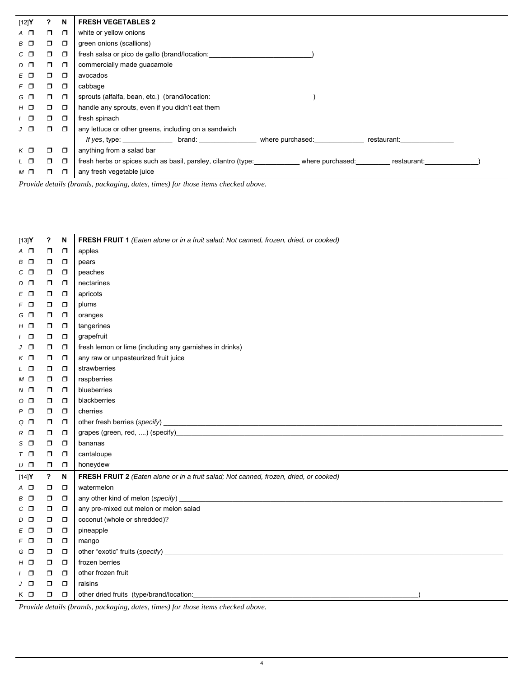| [12] $Y$      | $\mathbf{?}$ | N      | <b>FRESH VEGETABLES 2</b>                                                                        |
|---------------|--------------|--------|--------------------------------------------------------------------------------------------------|
| $A$ $\square$ | ο.           | $\Box$ | white or yellow onions                                                                           |
| $B$ $\Box$    | 0            | $\Box$ | green onions (scallions)                                                                         |
| $C$ $\Box$    | п.           | $\Box$ | fresh salsa or pico de gallo (brand/location:                                                    |
| $D$ $D$       | $\Box$       | $\Box$ | commercially made guacamole                                                                      |
| $E \nabla$    | $\Box$       | $\Box$ | avocados                                                                                         |
| $F$ $\Box$    | $\Box$       | $\Box$ | cabbage                                                                                          |
| $G$ $\Box$    | $\Box$       | $\Box$ | sprouts (alfalfa, bean, etc.) (brand/location: _________________________________                 |
| $H$ $\Box$    | $\Box$       | $\Box$ | handle any sprouts, even if you didn't eat them                                                  |
| $\sqrt{2}$    | $\Box$       | $\Box$ | fresh spinach                                                                                    |
| $J$ $\Box$    | Π.           | $\Box$ | any lettuce or other greens, including on a sandwich                                             |
|               |              |        | If yes, type: ___________________ brand: _______________________ where purchased:<br>restaurant: |
| $K$ $\Box$    | ο.           | $\Box$ | anything from a salad bar                                                                        |
| L O           | ο.           | $\Box$ | fresh herbs or spices such as basil, parsley, cilantro (type: where purchased:<br>restaurant:    |
| $M$ $\square$ | Π.           | $\Box$ | any fresh vegetable juice                                                                        |

*Provide details (brands, packaging, dates, times) for those items checked above.* 

| [13]Y          | ?            | N      | FRESH FRUIT 1 (Eaten alone or in a fruit salad; Not canned, frozen, dried, or cooked)                                                                                                                                                                                                                       |
|----------------|--------------|--------|-------------------------------------------------------------------------------------------------------------------------------------------------------------------------------------------------------------------------------------------------------------------------------------------------------------|
| A O            | $\Box$       | $\Box$ | apples                                                                                                                                                                                                                                                                                                      |
| $B$ $\Box$     | $\Box$       | $\Box$ | pears                                                                                                                                                                                                                                                                                                       |
| $C$ $\Box$     | σ            | $\Box$ | peaches                                                                                                                                                                                                                                                                                                     |
| $D$ $D$        | σ            | $\Box$ | nectarines                                                                                                                                                                                                                                                                                                  |
| $E$ $\Box$     | σ            | $\Box$ | apricots                                                                                                                                                                                                                                                                                                    |
| $F$ $\Box$     | σ            | $\Box$ | plums                                                                                                                                                                                                                                                                                                       |
| $G$ $\Box$     | σ            | $\Box$ | oranges                                                                                                                                                                                                                                                                                                     |
| $H$ $\Box$     | σ            | $\Box$ | tangerines                                                                                                                                                                                                                                                                                                  |
| $\Box$         | σ            | $\Box$ | grapefruit                                                                                                                                                                                                                                                                                                  |
| J O            | $\Box$       | $\Box$ | fresh lemon or lime (including any garnishes in drinks)                                                                                                                                                                                                                                                     |
| $K$ $\square$  | 0            | $\Box$ | any raw or unpasteurized fruit juice                                                                                                                                                                                                                                                                        |
| L O            | 0            | $\Box$ | strawberries                                                                                                                                                                                                                                                                                                |
| $M$ $\square$  | σ            | $\Box$ | raspberries                                                                                                                                                                                                                                                                                                 |
| $N$ $\square$  | σ            | $\Box$ | blueberries                                                                                                                                                                                                                                                                                                 |
| $\circ$ $\Box$ | σ            | $\Box$ | blackberries                                                                                                                                                                                                                                                                                                |
| $P$ $\Box$     | σ            | $\Box$ | cherries                                                                                                                                                                                                                                                                                                    |
| $Q$ $\Box$     | σ            | $\Box$ |                                                                                                                                                                                                                                                                                                             |
| $R$ $\square$  | $\Box$       | $\Box$ |                                                                                                                                                                                                                                                                                                             |
| $S$ $\Box$     | $\Box$       | $\Box$ | bananas                                                                                                                                                                                                                                                                                                     |
| $T$ $\Box$     | σ            | $\Box$ | cantaloupe                                                                                                                                                                                                                                                                                                  |
| υ□             | σ            | $\Box$ | honeydew                                                                                                                                                                                                                                                                                                    |
| $[14]Y$        | $\mathbf{P}$ | N      | FRESH FRUIT 2 (Eaten alone or in a fruit salad; Not canned, frozen, dried, or cooked)                                                                                                                                                                                                                       |
| A O            | $\Box$       | $\Box$ | watermelon                                                                                                                                                                                                                                                                                                  |
| B O            | $\Box$       | $\Box$ |                                                                                                                                                                                                                                                                                                             |
| $C$ $\Box$     | 0            | $\Box$ | any pre-mixed cut melon or melon salad                                                                                                                                                                                                                                                                      |
| $D$ $\Box$     | σ            | $\Box$ | coconut (whole or shredded)?                                                                                                                                                                                                                                                                                |
| $E$ $\Box$     | $\Box$       | $\Box$ | pineapple                                                                                                                                                                                                                                                                                                   |
| $F$ $\Box$     | $\Box$       | $\Box$ | mango                                                                                                                                                                                                                                                                                                       |
| G O            | σ            | $\Box$ |                                                                                                                                                                                                                                                                                                             |
| $H$ $\Box$     | σ            | $\Box$ | frozen berries                                                                                                                                                                                                                                                                                              |
| - 0            | $\Box$       | $\Box$ | other frozen fruit                                                                                                                                                                                                                                                                                          |
| $J$ $\Box$     | $\Box$       | $\Box$ | raisins                                                                                                                                                                                                                                                                                                     |
| $K$ $\Box$     | $\Box$       | $\Box$ | other dried fruits (type/brand/location:                                                                                                                                                                                                                                                                    |
|                |              |        | $\mathbf{a}$ , $\mathbf{a}$ , $\mathbf{a}$ , $\mathbf{a}$ , $\mathbf{a}$ , $\mathbf{a}$ , $\mathbf{a}$ , $\mathbf{a}$ , $\mathbf{a}$ , $\mathbf{a}$ , $\mathbf{a}$ , $\mathbf{a}$ , $\mathbf{a}$ , $\mathbf{a}$ , $\mathbf{a}$ , $\mathbf{a}$ , $\mathbf{a}$ , $\mathbf{a}$ , $\mathbf{a}$ , $\mathbf{a}$ , |

*Provide details (brands, packaging, dates, times) for those items checked above.*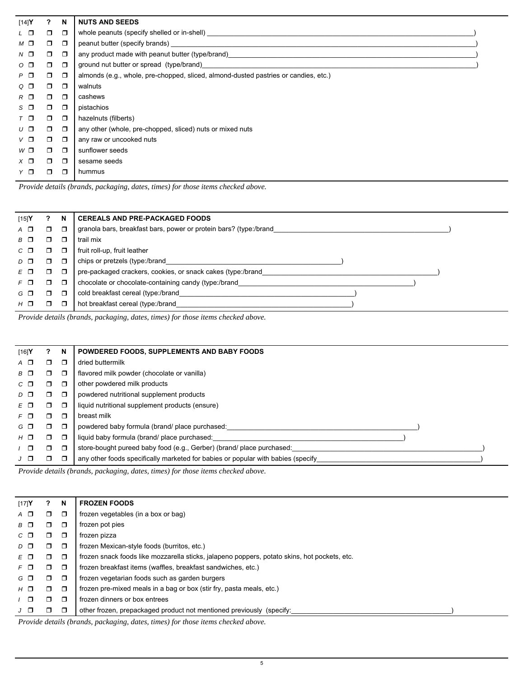| [14]Y          | ?      | N      | <b>NUTS AND SEEDS</b>                                                                                                                                                                                                          |
|----------------|--------|--------|--------------------------------------------------------------------------------------------------------------------------------------------------------------------------------------------------------------------------------|
| $L$ $\Box$     | $\Box$ | $\Box$ | whole peanuts (specify shelled or in-shell)                                                                                                                                                                                    |
| $M$ $\square$  | $\Box$ | $\Box$ | peanut butter (specify brands) and the state of the state of the state of the state of the state of the state of the state of the state of the state of the state of the state of the state of the state of the state of the s |
| $N$ $\Box$     | $\Box$ | $\Box$ | any product made with peanut butter (type/brand)                                                                                                                                                                               |
| $\circ$ $\Box$ | $\Box$ | $\Box$ | ground nut butter or spread (type/brand)                                                                                                                                                                                       |
| $P$ $\Box$     | Ο.     | $\Box$ | almonds (e.g., whole, pre-chopped, sliced, almond-dusted pastries or candies, etc.)                                                                                                                                            |
| $Q$ $\Box$     | $\Box$ | $\Box$ | walnuts                                                                                                                                                                                                                        |
| $R$ $\Box$     | $\Box$ | $\Box$ | cashews                                                                                                                                                                                                                        |
| $S$ $\Box$     | $\Box$ | $\Box$ | pistachios                                                                                                                                                                                                                     |
| $T$ $\Box$     | $\Box$ | $\Box$ | hazelnuts (filberts)                                                                                                                                                                                                           |
| $U$ $\Box$     | ο.     | $\Box$ | any other (whole, pre-chopped, sliced) nuts or mixed nuts                                                                                                                                                                      |
| $V$ $\Box$     | $\Box$ | $\Box$ | any raw or uncooked nuts                                                                                                                                                                                                       |
| $W\Box$        | ο.     | $\Box$ | sunflower seeds                                                                                                                                                                                                                |
| $X$ $\square$  | $\Box$ | $\Box$ | sesame seeds                                                                                                                                                                                                                   |
| Y O            | $\Box$ | $\Box$ | hummus                                                                                                                                                                                                                         |
|                |        |        |                                                                                                                                                                                                                                |

*Provide details (brands, packaging, dates, times) for those items checked above.* 

| [15]Y       |   | N      | <b>CEREALS AND PRE-PACKAGED FOODS</b>                             |
|-------------|---|--------|-------------------------------------------------------------------|
| A O         | ◻ | ◘      | granola bars, breakfast bars, power or protein bars? (type:/brand |
| 8 O         |   | Π      | trail mix                                                         |
| $C \square$ | ┑ | ◘      | fruit roll-up, fruit leather                                      |
| $D$ $D$     | ⊐ | ◘      | chips or pretzels (type:/brand                                    |
| $E$ $\Box$  | □ | $\Box$ | pre-packaged crackers, cookies, or snack cakes (type:/brand       |
| $F$ $\Pi$   | ┑ | ◘      | chocolate or chocolate-containing candy (type:/brand              |
| G O         | ┑ | $\Box$ | cold breakfast cereal (type:/brand                                |
| $H$ $\Box$  |   | ⊓      | hot breakfast cereal (type:/brand                                 |

*Provide details (brands, packaging, dates, times) for those items checked above.* 

| [16]Y                       |    | N      | POWDERED FOODS, SUPPLEMENTS AND BABY FOODS                                       |
|-----------------------------|----|--------|----------------------------------------------------------------------------------|
| $A \Box$                    | ٦  | $\Box$ | dried buttermilk                                                                 |
| $\mathbf{B}$ $\mathbf{\Pi}$ | ⊓  | $\Box$ | flavored milk powder (chocolate or vanilla)                                      |
| $C$ $\Box$                  | ┑  | ◘      | other powdered milk products                                                     |
| $D$ $\Box$                  | ⊓  | $\Box$ | powdered nutritional supplement products                                         |
| FΠ                          | □  | O      | liquid nutritional supplement products (ensure)                                  |
| $F$ $\Box$                  | ⊓  | ◘      | breast milk                                                                      |
| G O                         | ⊓. | $\Box$ | powdered baby formula (brand/ place purchased:                                   |
| $H$ $\Box$                  | Π. | $\Box$ | liquid baby formula (brand/ place purchased:                                     |
| $\Box$                      | ⊓  | $\Box$ | store-bought pureed baby food (e.g., Gerber) (brand/ place purchased:            |
| $J$ $\Box$                  | ⊓  | ◘      | any other foods specifically marketed for babies or popular with babies (specify |

*Provide details (brands, packaging, dates, times) for those items checked above.* 

| [17]Y                       |        | N      | <b>FROZEN FOODS</b>                                                                          |
|-----------------------------|--------|--------|----------------------------------------------------------------------------------------------|
| $A$ $\Box$                  | ┑      | ◘      | frozen vegetables (in a box or bag)                                                          |
| $\mathbf{B}$ $\mathbf{\Pi}$ |        | ◘      | frozen pot pies                                                                              |
| $C \n \Box$                 | ┑      | ◘      | frozen pizza                                                                                 |
| $D$ $\Box$                  | ┑      | ◘      | frozen Mexican-style foods (burritos, etc.)                                                  |
| EΠ                          | ┑      | $\Box$ | frozen snack foods like mozzarella sticks, jalapeno poppers, potato skins, hot pockets, etc. |
| $F \n \Box$                 | ┑      | $\Box$ | frozen breakfast items (waffles, breakfast sandwiches, etc.)                                 |
| $G$ $\Box$                  | ┑      | $\Box$ | frozen vegetarian foods such as garden burgers                                               |
| $H$ $\Box$                  | $\Box$ | $\Box$ | frozen pre-mixed meals in a bag or box (stir fry, pasta meals, etc.)                         |
| /  ∩                        |        | $\Box$ | frozen dinners or box entrees                                                                |
|                             |        | $\Box$ | other frozen, prepackaged product not mentioned previously (specify:                         |
|                             |        |        |                                                                                              |

*Provide details (brands, packaging, dates, times) for those items checked above.*